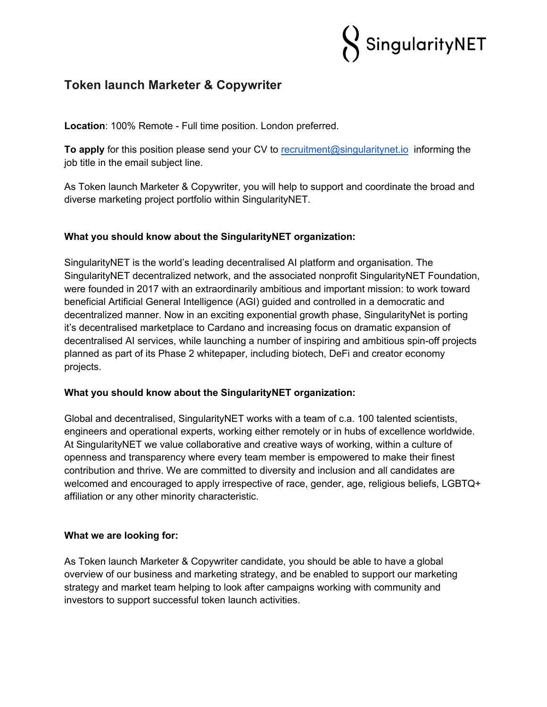

# **Token launch Marketer & Copywriter**

**Location**: 100% Remote - Full time position. London preferred.

**To apply** for this position please send your CV to recruitment@singularitynet.io informing the job title in the email subject line.

As Token launch Marketer & Copywriter, you will help to support and coordinate the broad and diverse marketing project portfolio within SingularityNET.

### **What you should know about the SingularityNET organization:**

SingularityNET is the world's leading decentralised AI platform and organisation. The SingularityNET decentralized network, and the associated nonprofit SingularityNET Foundation, were founded in 2017 with an extraordinarily ambitious and important mission: to work toward beneficial Artificial General Intelligence (AGI) guided and controlled in a democratic and decentralized manner. Now in an exciting exponential growth phase, SingularityNet is porting it's decentralised marketplace to Cardano and increasing focus on dramatic expansion of decentralised AI services, while launching a number of inspiring and ambitious spin-off projects planned as part of its Phase 2 whitepaper, including biotech, DeFi and creator economy projects.

### **What you should know about the SingularityNET organization:**

Global and decentralised, SingularityNET works with a team of c.a. 100 talented scientists, engineers and operational experts, working either remotely or in hubs of excellence worldwide. At SingularityNET we value collaborative and creative ways of working, within a culture of openness and transparency where every team member is empowered to make their finest contribution and thrive. We are committed to diversity and inclusion and all candidates are welcomed and encouraged to apply irrespective of race, gender, age, religious beliefs, LGBTQ+ affiliation or any other minority characteristic.

### **What we are looking for:**

As Token launch Marketer & Copywriter candidate, you should be able to have a global overview of our business and marketing strategy, and be enabled to support our marketing strategy and market team helping to look after campaigns working with community and investors to support successful token launch activities.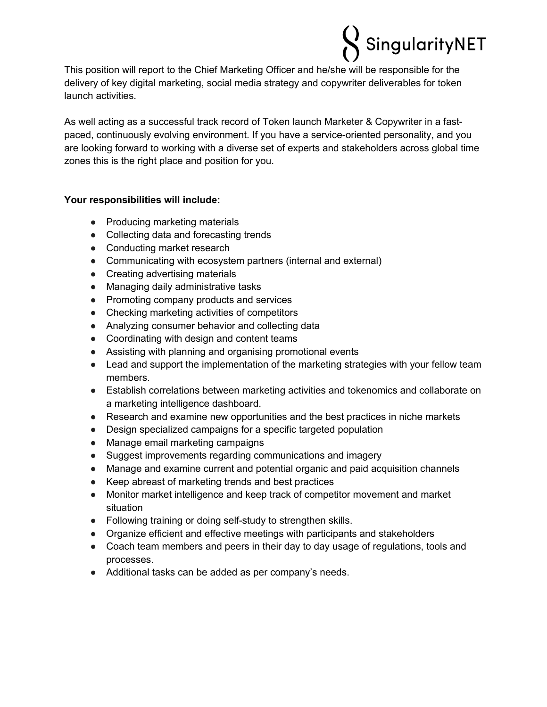

This position will report to the Chief Marketing Officer and he/she will be responsible for the delivery of key digital marketing, social media strategy and copywriter deliverables for token launch activities.

As well acting as a successful track record of Token launch Marketer & Copywriter in a fastpaced, continuously evolving environment. If you have a service-oriented personality, and you are looking forward to working with a diverse set of experts and stakeholders across global time zones this is the right place and position for you.

### **Your responsibilities will include:**

- Producing marketing materials
- Collecting data and forecasting trends
- Conducting market research
- Communicating with ecosystem partners (internal and external)
- Creating advertising materials
- Managing daily administrative tasks
- Promoting company products and services
- Checking marketing activities of competitors
- Analyzing consumer behavior and collecting data
- Coordinating with design and content teams
- Assisting with planning and organising promotional events
- Lead and support the implementation of the marketing strategies with your fellow team members.
- Establish correlations between marketing activities and tokenomics and collaborate on a marketing intelligence dashboard.
- Research and examine new opportunities and the best practices in niche markets
- Design specialized campaigns for a specific targeted population
- Manage email marketing campaigns
- Suggest improvements regarding communications and imagery
- Manage and examine current and potential organic and paid acquisition channels
- Keep abreast of marketing trends and best practices
- Monitor market intelligence and keep track of competitor movement and market situation
- Following training or doing self-study to strengthen skills.
- Organize efficient and effective meetings with participants and stakeholders
- Coach team members and peers in their day to day usage of regulations, tools and processes.
- Additional tasks can be added as per company's needs.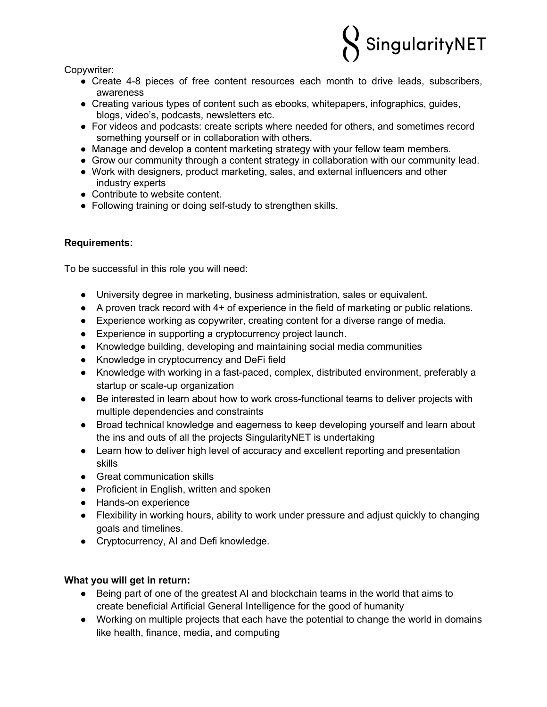

Copywriter:

- Create 4-8 pieces of free content resources each month to drive leads, subscribers, awareness
- Creating various types of content such as ebooks, whitepapers, infographics, guides, blogs, video's, podcasts, newsletters etc.
- For videos and podcasts: create scripts where needed for others, and sometimes record something yourself or in collaboration with others.
- Manage and develop a content marketing strategy with your fellow team members.
- Grow our community through a content strategy in collaboration with our community lead.
- Work with designers, product marketing, sales, and external influencers and other industry experts
- Contribute to website content.
- Following training or doing self-study to strengthen skills.

## **Requirements:**

To be successful in this role you will need:

- University degree in marketing, business administration, sales or equivalent.
- A proven track record with 4+ of experience in the field of marketing or public relations.
- Experience working as copywriter, creating content for a diverse range of media.
- Experience in supporting a cryptocurrency project launch.
- Knowledge building, developing and maintaining social media communities
- Knowledge in cryptocurrency and DeFi field
- Knowledge with working in a fast-paced, complex, distributed environment, preferably a startup or scale-up organization
- Be interested in learn about how to work cross-functional teams to deliver projects with multiple dependencies and constraints
- Broad technical knowledge and eagerness to keep developing yourself and learn about the ins and outs of all the projects SingularityNET is undertaking
- Learn how to deliver high level of accuracy and excellent reporting and presentation skills
- Great communication skills
- Proficient in English, written and spoken
- Hands-on experience
- Flexibility in working hours, ability to work under pressure and adjust quickly to changing goals and timelines.
- Cryptocurrency, AI and Defi knowledge.

### **What you will get in return:**

- Being part of one of the greatest AI and blockchain teams in the world that aims to create beneficial Artificial General Intelligence for the good of humanity
- Working on multiple projects that each have the potential to change the world in domains like health, finance, media, and computing